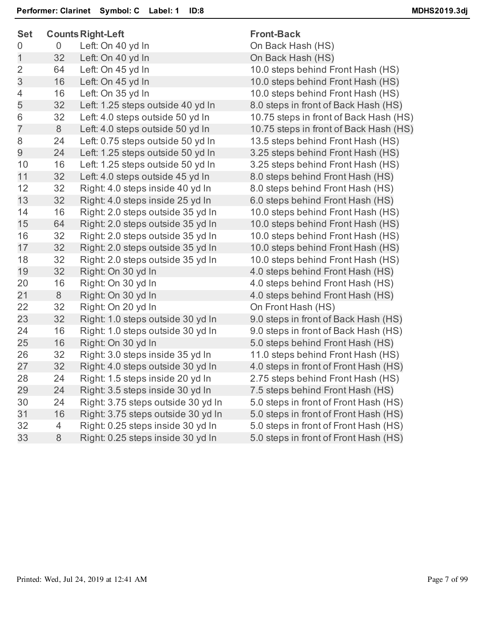| <b>Set</b>     |    | <b>Counts Right-Left</b>           | <b>Front-Back</b>                      |
|----------------|----|------------------------------------|----------------------------------------|
| 0              | 0  | Left: On 40 yd In                  | On Back Hash (HS)                      |
| 1              | 32 | Left: On 40 yd In                  | On Back Hash (HS)                      |
| $\overline{2}$ | 64 | Left: On 45 yd In                  | 10.0 steps behind Front Hash (HS)      |
| 3              | 16 | Left: On 45 yd In                  | 10.0 steps behind Front Hash (HS)      |
| 4              | 16 | Left: On 35 yd In                  | 10.0 steps behind Front Hash (HS)      |
| 5              | 32 | Left: 1.25 steps outside 40 yd In  | 8.0 steps in front of Back Hash (HS)   |
| 6              | 32 | Left: 4.0 steps outside 50 yd In   | 10.75 steps in front of Back Hash (HS) |
| $\overline{7}$ | 8  | Left: 4.0 steps outside 50 yd In   | 10.75 steps in front of Back Hash (HS) |
| 8              | 24 | Left: 0.75 steps outside 50 yd In  | 13.5 steps behind Front Hash (HS)      |
| 9              | 24 | Left: 1.25 steps outside 50 yd In  | 3.25 steps behind Front Hash (HS)      |
| 10             | 16 | Left: 1.25 steps outside 50 yd In  | 3.25 steps behind Front Hash (HS)      |
| 11             | 32 | Left: 4.0 steps outside 45 yd In   | 8.0 steps behind Front Hash (HS)       |
| 12             | 32 | Right: 4.0 steps inside 40 yd In   | 8.0 steps behind Front Hash (HS)       |
| 13             | 32 | Right: 4.0 steps inside 25 yd In   | 6.0 steps behind Front Hash (HS)       |
| 14             | 16 | Right: 2.0 steps outside 35 yd In  | 10.0 steps behind Front Hash (HS)      |
| 15             | 64 | Right: 2.0 steps outside 35 yd In  | 10.0 steps behind Front Hash (HS)      |
| 16             | 32 | Right: 2.0 steps outside 35 yd In  | 10.0 steps behind Front Hash (HS)      |
| 17             | 32 | Right: 2.0 steps outside 35 yd In  | 10.0 steps behind Front Hash (HS)      |
| 18             | 32 | Right: 2.0 steps outside 35 yd In  | 10.0 steps behind Front Hash (HS)      |
| 19             | 32 | Right: On 30 yd In                 | 4.0 steps behind Front Hash (HS)       |
| 20             | 16 | Right: On 30 yd In                 | 4.0 steps behind Front Hash (HS)       |
| 21             | 8  | Right: On 30 yd In                 | 4.0 steps behind Front Hash (HS)       |
| 22             | 32 | Right: On 20 yd In                 | On Front Hash (HS)                     |
| 23             | 32 | Right: 1.0 steps outside 30 yd In  | 9.0 steps in front of Back Hash (HS)   |
| 24             | 16 | Right: 1.0 steps outside 30 yd In  | 9.0 steps in front of Back Hash (HS)   |
| 25             | 16 | Right: On 30 yd In                 | 5.0 steps behind Front Hash (HS)       |
| 26             | 32 | Right: 3.0 steps inside 35 yd In   | 11.0 steps behind Front Hash (HS)      |
| 27             | 32 | Right: 4.0 steps outside 30 yd In  | 4.0 steps in front of Front Hash (HS)  |
| 28             | 24 | Right: 1.5 steps inside 20 yd In   | 2.75 steps behind Front Hash (HS)      |
| 29             | 24 | Right: 3.5 steps inside 30 yd In   | 7.5 steps behind Front Hash (HS)       |
| 30             | 24 | Right: 3.75 steps outside 30 yd In | 5.0 steps in front of Front Hash (HS)  |
| 31             | 16 | Right: 3.75 steps outside 30 yd In | 5.0 steps in front of Front Hash (HS)  |
| 32             | 4  | Right: 0.25 steps inside 30 yd In  | 5.0 steps in front of Front Hash (HS)  |
| 33             | 8  | Right: 0.25 steps inside 30 yd In  | 5.0 steps in front of Front Hash (HS)  |
|                |    |                                    |                                        |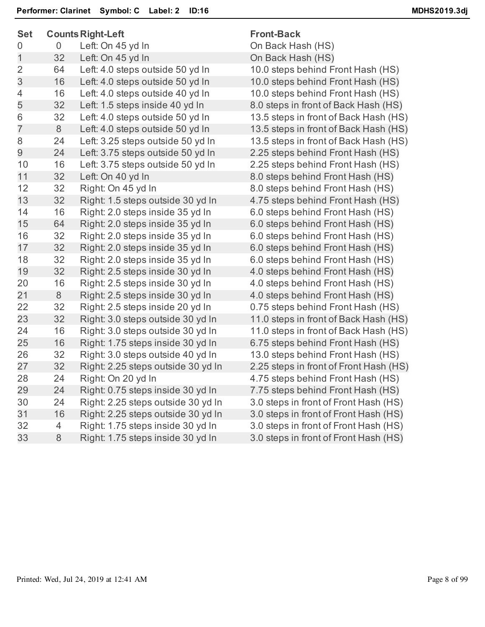| <b>Set</b>     |                | <b>Counts Right-Left</b>           | <b>Front-Back</b>                      |
|----------------|----------------|------------------------------------|----------------------------------------|
| 0              | $\overline{0}$ | Left: On 45 yd In                  | On Back Hash (HS)                      |
| 1              | 32             | Left: On 45 yd In                  | On Back Hash (HS)                      |
| $\overline{2}$ | 64             | Left: 4.0 steps outside 50 yd In   | 10.0 steps behind Front Hash (HS)      |
| 3              | 16             | Left: 4.0 steps outside 50 yd In   | 10.0 steps behind Front Hash (HS)      |
| 4              | 16             | Left: 4.0 steps outside 40 yd In   | 10.0 steps behind Front Hash (HS)      |
| 5              | 32             | Left: 1.5 steps inside 40 yd In    | 8.0 steps in front of Back Hash (HS)   |
| 6              | 32             | Left: 4.0 steps outside 50 yd In   | 13.5 steps in front of Back Hash (HS)  |
| $\overline{7}$ | 8              | Left: 4.0 steps outside 50 yd In   | 13.5 steps in front of Back Hash (HS)  |
| 8              | 24             | Left: 3.25 steps outside 50 yd In  | 13.5 steps in front of Back Hash (HS)  |
| 9              | 24             | Left: 3.75 steps outside 50 yd In  | 2.25 steps behind Front Hash (HS)      |
| 10             | 16             | Left: 3.75 steps outside 50 yd In  | 2.25 steps behind Front Hash (HS)      |
| 11             | 32             | Left: On 40 yd In                  | 8.0 steps behind Front Hash (HS)       |
| 12             | 32             | Right: On 45 yd In                 | 8.0 steps behind Front Hash (HS)       |
| 13             | 32             | Right: 1.5 steps outside 30 yd In  | 4.75 steps behind Front Hash (HS)      |
| 14             | 16             | Right: 2.0 steps inside 35 yd In   | 6.0 steps behind Front Hash (HS)       |
| 15             | 64             | Right: 2.0 steps inside 35 yd In   | 6.0 steps behind Front Hash (HS)       |
| 16             | 32             | Right: 2.0 steps inside 35 yd In   | 6.0 steps behind Front Hash (HS)       |
| 17             | 32             | Right: 2.0 steps inside 35 yd In   | 6.0 steps behind Front Hash (HS)       |
| 18             | 32             | Right: 2.0 steps inside 35 yd In   | 6.0 steps behind Front Hash (HS)       |
| 19             | 32             | Right: 2.5 steps inside 30 yd In   | 4.0 steps behind Front Hash (HS)       |
| 20             | 16             | Right: 2.5 steps inside 30 yd In   | 4.0 steps behind Front Hash (HS)       |
| 21             | 8              | Right: 2.5 steps inside 30 yd In   | 4.0 steps behind Front Hash (HS)       |
| 22             | 32             | Right: 2.5 steps inside 20 yd In   | 0.75 steps behind Front Hash (HS)      |
| 23             | 32             | Right: 3.0 steps outside 30 yd In  | 11.0 steps in front of Back Hash (HS)  |
| 24             | 16             | Right: 3.0 steps outside 30 yd In  | 11.0 steps in front of Back Hash (HS)  |
| 25             | 16             | Right: 1.75 steps inside 30 yd In  | 6.75 steps behind Front Hash (HS)      |
| 26             | 32             | Right: 3.0 steps outside 40 yd In  | 13.0 steps behind Front Hash (HS)      |
| 27             | 32             | Right: 2.25 steps outside 30 yd In | 2.25 steps in front of Front Hash (HS) |
| 28             | 24             | Right: On 20 yd In                 | 4.75 steps behind Front Hash (HS)      |
| 29             | 24             | Right: 0.75 steps inside 30 yd In  | 7.75 steps behind Front Hash (HS)      |
| 30             | 24             | Right: 2.25 steps outside 30 yd In | 3.0 steps in front of Front Hash (HS)  |
| 31             | 16             | Right: 2.25 steps outside 30 yd In | 3.0 steps in front of Front Hash (HS)  |
| 32             | 4              | Right: 1.75 steps inside 30 yd In  | 3.0 steps in front of Front Hash (HS)  |
| 33             | 8              | Right: 1.75 steps inside 30 yd In  | 3.0 steps in front of Front Hash (HS)  |
|                |                |                                    |                                        |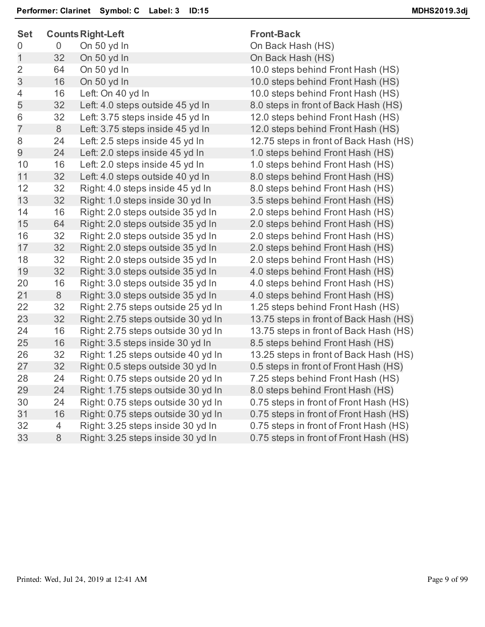| <b>Set</b>     | <b>Counts Right-Left</b> |                                    | <b>Front-Back</b>                      |
|----------------|--------------------------|------------------------------------|----------------------------------------|
| 0              | $\overline{0}$           | On 50 yd In                        | On Back Hash (HS)                      |
| 1              | 32                       | On 50 yd In                        | On Back Hash (HS)                      |
| $\overline{2}$ | 64                       | On 50 yd In                        | 10.0 steps behind Front Hash (HS)      |
| 3              | 16                       | On 50 yd In                        | 10.0 steps behind Front Hash (HS)      |
| 4              | 16                       | Left: On 40 yd In                  | 10.0 steps behind Front Hash (HS)      |
| 5              | 32                       | Left: 4.0 steps outside 45 yd In   | 8.0 steps in front of Back Hash (HS)   |
| 6              | 32                       | Left: 3.75 steps inside 45 yd In   | 12.0 steps behind Front Hash (HS)      |
| $\overline{7}$ | 8                        | Left: 3.75 steps inside 45 yd In   | 12.0 steps behind Front Hash (HS)      |
| 8              | 24                       | Left: 2.5 steps inside 45 yd In    | 12.75 steps in front of Back Hash (HS) |
| 9              | 24                       | Left: 2.0 steps inside 45 yd In    | 1.0 steps behind Front Hash (HS)       |
| 10             | 16                       | Left: 2.0 steps inside 45 yd In    | 1.0 steps behind Front Hash (HS)       |
| 11             | 32                       | Left: 4.0 steps outside 40 yd In   | 8.0 steps behind Front Hash (HS)       |
| 12             | 32                       | Right: 4.0 steps inside 45 yd In   | 8.0 steps behind Front Hash (HS)       |
| 13             | 32                       | Right: 1.0 steps inside 30 yd In   | 3.5 steps behind Front Hash (HS)       |
| 14             | 16                       | Right: 2.0 steps outside 35 yd In  | 2.0 steps behind Front Hash (HS)       |
| 15             | 64                       | Right: 2.0 steps outside 35 yd In  | 2.0 steps behind Front Hash (HS)       |
| 16             | 32                       | Right: 2.0 steps outside 35 yd In  | 2.0 steps behind Front Hash (HS)       |
| 17             | 32                       | Right: 2.0 steps outside 35 yd In  | 2.0 steps behind Front Hash (HS)       |
| 18             | 32                       | Right: 2.0 steps outside 35 yd In  | 2.0 steps behind Front Hash (HS)       |
| 19             | 32                       | Right: 3.0 steps outside 35 yd In  | 4.0 steps behind Front Hash (HS)       |
| 20             | 16                       | Right: 3.0 steps outside 35 yd In  | 4.0 steps behind Front Hash (HS)       |
| 21             | 8                        | Right: 3.0 steps outside 35 yd In  | 4.0 steps behind Front Hash (HS)       |
| 22             | 32                       | Right: 2.75 steps outside 25 yd In | 1.25 steps behind Front Hash (HS)      |
| 23             | 32                       | Right: 2.75 steps outside 30 yd In | 13.75 steps in front of Back Hash (HS) |
| 24             | 16                       | Right: 2.75 steps outside 30 yd In | 13.75 steps in front of Back Hash (HS) |
| 25             | 16                       | Right: 3.5 steps inside 30 yd In   | 8.5 steps behind Front Hash (HS)       |
| 26             | 32                       | Right: 1.25 steps outside 40 yd In | 13.25 steps in front of Back Hash (HS) |
| 27             | 32                       | Right: 0.5 steps outside 30 yd In  | 0.5 steps in front of Front Hash (HS)  |
| 28             | 24                       | Right: 0.75 steps outside 20 yd In | 7.25 steps behind Front Hash (HS)      |
| 29             | 24                       | Right: 1.75 steps outside 30 yd In | 8.0 steps behind Front Hash (HS)       |
| 30             | 24                       | Right: 0.75 steps outside 30 yd In | 0.75 steps in front of Front Hash (HS) |
| 31             | 16                       | Right: 0.75 steps outside 30 yd In | 0.75 steps in front of Front Hash (HS) |
| 32             | 4                        | Right: 3.25 steps inside 30 yd In  | 0.75 steps in front of Front Hash (HS) |
| 33             | $\,8\,$                  | Right: 3.25 steps inside 30 yd In  | 0.75 steps in front of Front Hash (HS) |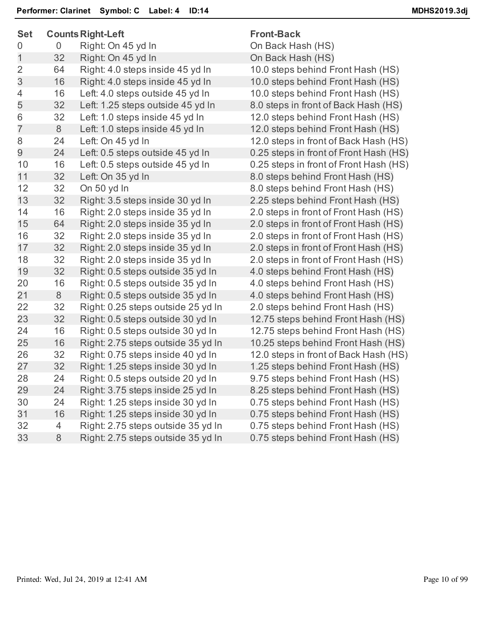| <b>Set</b>     |                | <b>Counts Right-Left</b>           | <b>Front-Back</b>                      |
|----------------|----------------|------------------------------------|----------------------------------------|
| 0              | 0              | Right: On 45 yd In                 | On Back Hash (HS)                      |
| $\mathbf 1$    | 32             | Right: On 45 yd In                 | On Back Hash (HS)                      |
| $\overline{2}$ | 64             | Right: 4.0 steps inside 45 yd In   | 10.0 steps behind Front Hash (HS)      |
| 3              | 16             | Right: 4.0 steps inside 45 yd In   | 10.0 steps behind Front Hash (HS)      |
| 4              | 16             | Left: 4.0 steps outside 45 yd In   | 10.0 steps behind Front Hash (HS)      |
| 5              | 32             | Left: 1.25 steps outside 45 yd In  | 8.0 steps in front of Back Hash (HS)   |
| 6              | 32             | Left: 1.0 steps inside 45 yd In    | 12.0 steps behind Front Hash (HS)      |
| $\overline{7}$ | 8              | Left: 1.0 steps inside 45 yd In    | 12.0 steps behind Front Hash (HS)      |
| 8              | 24             | Left: On 45 yd In                  | 12.0 steps in front of Back Hash (HS)  |
| 9              | 24             | Left: 0.5 steps outside 45 yd In   | 0.25 steps in front of Front Hash (HS) |
| 10             | 16             | Left: 0.5 steps outside 45 yd In   | 0.25 steps in front of Front Hash (HS) |
| 11             | 32             | Left: On 35 yd In                  | 8.0 steps behind Front Hash (HS)       |
| 12             | 32             | On 50 yd In                        | 8.0 steps behind Front Hash (HS)       |
| 13             | 32             | Right: 3.5 steps inside 30 yd In   | 2.25 steps behind Front Hash (HS)      |
| 14             | 16             | Right: 2.0 steps inside 35 yd In   | 2.0 steps in front of Front Hash (HS)  |
| 15             | 64             | Right: 2.0 steps inside 35 yd In   | 2.0 steps in front of Front Hash (HS)  |
| 16             | 32             | Right: 2.0 steps inside 35 yd In   | 2.0 steps in front of Front Hash (HS)  |
| 17             | 32             | Right: 2.0 steps inside 35 yd In   | 2.0 steps in front of Front Hash (HS)  |
| 18             | 32             | Right: 2.0 steps inside 35 yd In   | 2.0 steps in front of Front Hash (HS)  |
| 19             | 32             | Right: 0.5 steps outside 35 yd In  | 4.0 steps behind Front Hash (HS)       |
| 20             | 16             | Right: 0.5 steps outside 35 yd In  | 4.0 steps behind Front Hash (HS)       |
| 21             | 8              | Right: 0.5 steps outside 35 yd In  | 4.0 steps behind Front Hash (HS)       |
| 22             | 32             | Right: 0.25 steps outside 25 yd In | 2.0 steps behind Front Hash (HS)       |
| 23             | 32             | Right: 0.5 steps outside 30 yd In  | 12.75 steps behind Front Hash (HS)     |
| 24             | 16             | Right: 0.5 steps outside 30 yd In  | 12.75 steps behind Front Hash (HS)     |
| 25             | 16             | Right: 2.75 steps outside 35 yd In | 10.25 steps behind Front Hash (HS)     |
| 26             | 32             | Right: 0.75 steps inside 40 yd In  | 12.0 steps in front of Back Hash (HS)  |
| 27             | 32             | Right: 1.25 steps inside 30 yd In  | 1.25 steps behind Front Hash (HS)      |
| 28             | 24             | Right: 0.5 steps outside 20 yd In  | 9.75 steps behind Front Hash (HS)      |
| 29             | 24             | Right: 3.75 steps inside 25 yd In  | 8.25 steps behind Front Hash (HS)      |
| 30             | 24             | Right: 1.25 steps inside 30 yd In  | 0.75 steps behind Front Hash (HS)      |
| 31             | 16             | Right: 1.25 steps inside 30 yd In  | 0.75 steps behind Front Hash (HS)      |
| 32             | $\overline{4}$ | Right: 2.75 steps outside 35 yd In | 0.75 steps behind Front Hash (HS)      |
| 33             | 8              | Right: 2.75 steps outside 35 yd In | 0.75 steps behind Front Hash (HS)      |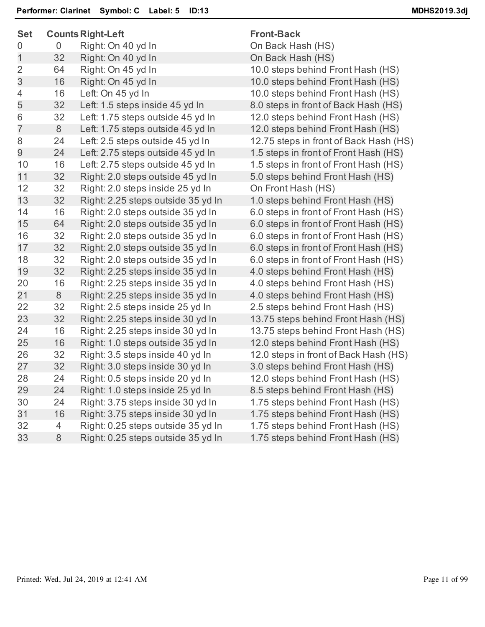| <b>Set</b>     |                | <b>Counts Right-Left</b>           | <b>Front-Back</b>                      |
|----------------|----------------|------------------------------------|----------------------------------------|
| 0              | $\overline{0}$ | Right: On 40 yd In                 | On Back Hash (HS)                      |
| 1              | 32             | Right: On 40 yd In                 | On Back Hash (HS)                      |
| $\overline{2}$ | 64             | Right: On 45 yd In                 | 10.0 steps behind Front Hash (HS)      |
| 3              | 16             | Right: On 45 yd In                 | 10.0 steps behind Front Hash (HS)      |
| 4              | 16             | Left: On 45 yd In                  | 10.0 steps behind Front Hash (HS)      |
| 5              | 32             | Left: 1.5 steps inside 45 yd In    | 8.0 steps in front of Back Hash (HS)   |
| 6              | 32             | Left: 1.75 steps outside 45 yd In  | 12.0 steps behind Front Hash (HS)      |
| $\overline{7}$ | 8              | Left: 1.75 steps outside 45 yd In  | 12.0 steps behind Front Hash (HS)      |
| 8              | 24             | Left: 2.5 steps outside 45 yd In   | 12.75 steps in front of Back Hash (HS) |
| 9              | 24             | Left: 2.75 steps outside 45 yd In  | 1.5 steps in front of Front Hash (HS)  |
| 10             | 16             | Left: 2.75 steps outside 45 yd In  | 1.5 steps in front of Front Hash (HS)  |
| 11             | 32             | Right: 2.0 steps outside 45 yd In  | 5.0 steps behind Front Hash (HS)       |
| 12             | 32             | Right: 2.0 steps inside 25 yd In   | On Front Hash (HS)                     |
| 13             | 32             | Right: 2.25 steps outside 35 yd In | 1.0 steps behind Front Hash (HS)       |
| 14             | 16             | Right: 2.0 steps outside 35 yd In  | 6.0 steps in front of Front Hash (HS)  |
| 15             | 64             | Right: 2.0 steps outside 35 yd In  | 6.0 steps in front of Front Hash (HS)  |
| 16             | 32             | Right: 2.0 steps outside 35 yd In  | 6.0 steps in front of Front Hash (HS)  |
| 17             | 32             | Right: 2.0 steps outside 35 yd In  | 6.0 steps in front of Front Hash (HS)  |
| 18             | 32             | Right: 2.0 steps outside 35 yd In  | 6.0 steps in front of Front Hash (HS)  |
| 19             | 32             | Right: 2.25 steps inside 35 yd In  | 4.0 steps behind Front Hash (HS)       |
| 20             | 16             | Right: 2.25 steps inside 35 yd In  | 4.0 steps behind Front Hash (HS)       |
| 21             | 8              | Right: 2.25 steps inside 35 yd In  | 4.0 steps behind Front Hash (HS)       |
| 22             | 32             | Right: 2.5 steps inside 25 yd In   | 2.5 steps behind Front Hash (HS)       |
| 23             | 32             | Right: 2.25 steps inside 30 yd In  | 13.75 steps behind Front Hash (HS)     |
| 24             | 16             | Right: 2.25 steps inside 30 yd In  | 13.75 steps behind Front Hash (HS)     |
| 25             | 16             | Right: 1.0 steps outside 35 yd In  | 12.0 steps behind Front Hash (HS)      |
| 26             | 32             | Right: 3.5 steps inside 40 yd In   | 12.0 steps in front of Back Hash (HS)  |
| 27             | 32             | Right: 3.0 steps inside 30 yd In   | 3.0 steps behind Front Hash (HS)       |
| 28             | 24             | Right: 0.5 steps inside 20 yd In   | 12.0 steps behind Front Hash (HS)      |
| 29             | 24             | Right: 1.0 steps inside 25 yd In   | 8.5 steps behind Front Hash (HS)       |
| 30             | 24             | Right: 3.75 steps inside 30 yd In  | 1.75 steps behind Front Hash (HS)      |
| 31             | 16             | Right: 3.75 steps inside 30 yd In  | 1.75 steps behind Front Hash (HS)      |
| 32             | 4              | Right: 0.25 steps outside 35 yd In | 1.75 steps behind Front Hash (HS)      |
| 33             | $\,8\,$        | Right: 0.25 steps outside 35 yd In | 1.75 steps behind Front Hash (HS)      |
|                |                |                                    |                                        |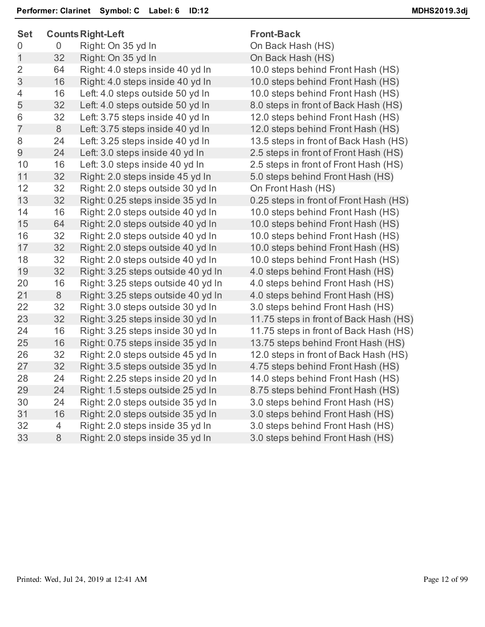| <b>Set</b>     | <b>Counts Right-Left</b> |                                    | <b>Front-Back</b>                      |
|----------------|--------------------------|------------------------------------|----------------------------------------|
| 0              | 0                        | Right: On 35 yd In                 | On Back Hash (HS)                      |
| 1              | 32                       | Right: On 35 yd In                 | On Back Hash (HS)                      |
| $\overline{2}$ | 64                       | Right: 4.0 steps inside 40 yd In   | 10.0 steps behind Front Hash (HS)      |
| 3              | 16                       | Right: 4.0 steps inside 40 yd In   | 10.0 steps behind Front Hash (HS)      |
| 4              | 16                       | Left: 4.0 steps outside 50 yd In   | 10.0 steps behind Front Hash (HS)      |
| 5              | 32                       | Left: 4.0 steps outside 50 yd In   | 8.0 steps in front of Back Hash (HS)   |
| 6              | 32                       | Left: 3.75 steps inside 40 yd In   | 12.0 steps behind Front Hash (HS)      |
| $\overline{7}$ | 8                        | Left: 3.75 steps inside 40 yd In   | 12.0 steps behind Front Hash (HS)      |
| 8              | 24                       | Left: 3.25 steps inside 40 yd In   | 13.5 steps in front of Back Hash (HS)  |
| $\overline{9}$ | 24                       | Left: 3.0 steps inside 40 yd In    | 2.5 steps in front of Front Hash (HS)  |
| 10             | 16                       | Left: 3.0 steps inside 40 yd In    | 2.5 steps in front of Front Hash (HS)  |
| 11             | 32                       | Right: 2.0 steps inside 45 yd In   | 5.0 steps behind Front Hash (HS)       |
| 12             | 32                       | Right: 2.0 steps outside 30 yd In  | On Front Hash (HS)                     |
| 13             | 32                       | Right: 0.25 steps inside 35 yd In  | 0.25 steps in front of Front Hash (HS) |
| 14             | 16                       | Right: 2.0 steps outside 40 yd In  | 10.0 steps behind Front Hash (HS)      |
| 15             | 64                       | Right: 2.0 steps outside 40 yd In  | 10.0 steps behind Front Hash (HS)      |
| 16             | 32                       | Right: 2.0 steps outside 40 yd In  | 10.0 steps behind Front Hash (HS)      |
| 17             | 32                       | Right: 2.0 steps outside 40 yd In  | 10.0 steps behind Front Hash (HS)      |
| 18             | 32                       | Right: 2.0 steps outside 40 yd In  | 10.0 steps behind Front Hash (HS)      |
| 19             | 32                       | Right: 3.25 steps outside 40 yd In | 4.0 steps behind Front Hash (HS)       |
| 20             | 16                       | Right: 3.25 steps outside 40 yd In | 4.0 steps behind Front Hash (HS)       |
| 21             | 8                        | Right: 3.25 steps outside 40 yd In | 4.0 steps behind Front Hash (HS)       |
| 22             | 32                       | Right: 3.0 steps outside 30 yd In  | 3.0 steps behind Front Hash (HS)       |
| 23             | 32                       | Right: 3.25 steps inside 30 yd In  | 11.75 steps in front of Back Hash (HS) |
| 24             | 16                       | Right: 3.25 steps inside 30 yd In  | 11.75 steps in front of Back Hash (HS) |
| 25             | 16                       | Right: 0.75 steps inside 35 yd In  | 13.75 steps behind Front Hash (HS)     |
| 26             | 32                       | Right: 2.0 steps outside 45 yd In  | 12.0 steps in front of Back Hash (HS)  |
| 27             | 32                       | Right: 3.5 steps outside 35 yd In  | 4.75 steps behind Front Hash (HS)      |
| 28             | 24                       | Right: 2.25 steps inside 20 yd In  | 14.0 steps behind Front Hash (HS)      |
| 29             | 24                       | Right: 1.5 steps outside 25 yd In  | 8.75 steps behind Front Hash (HS)      |
| 30             | 24                       | Right: 2.0 steps outside 35 yd In  | 3.0 steps behind Front Hash (HS)       |
| 31             | 16                       | Right: 2.0 steps outside 35 yd In  | 3.0 steps behind Front Hash (HS)       |
| 32             | 4                        | Right: 2.0 steps inside 35 yd In   | 3.0 steps behind Front Hash (HS)       |
| 33             | $8\,$                    | Right: 2.0 steps inside 35 yd In   | 3.0 steps behind Front Hash (HS)       |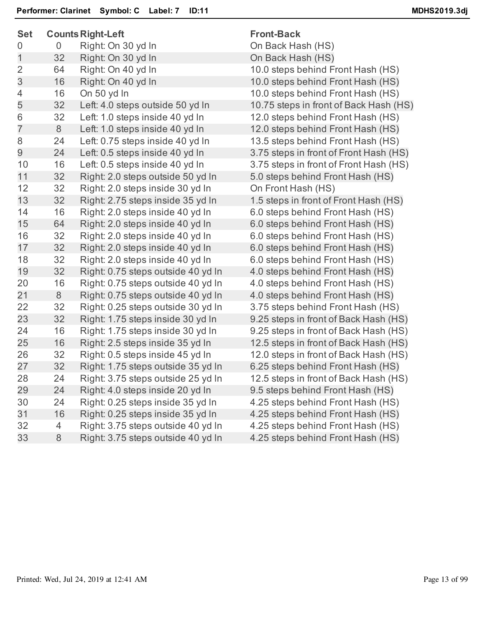| <b>Set</b>     |                | <b>Counts Right-Left</b>           | <b>Front-Back</b>                      |
|----------------|----------------|------------------------------------|----------------------------------------|
| 0              | $\overline{0}$ | Right: On 30 yd In                 | On Back Hash (HS)                      |
| 1              | 32             | Right: On 30 yd In                 | On Back Hash (HS)                      |
| $\overline{2}$ | 64             | Right: On 40 yd In                 | 10.0 steps behind Front Hash (HS)      |
| 3              | 16             | Right: On 40 yd In                 | 10.0 steps behind Front Hash (HS)      |
| $\overline{4}$ | 16             | On 50 yd In                        | 10.0 steps behind Front Hash (HS)      |
| 5              | 32             | Left: 4.0 steps outside 50 yd In   | 10.75 steps in front of Back Hash (HS) |
| 6              | 32             | Left: 1.0 steps inside 40 yd In    | 12.0 steps behind Front Hash (HS)      |
| $\overline{7}$ | 8              | Left: 1.0 steps inside 40 yd In    | 12.0 steps behind Front Hash (HS)      |
| 8              | 24             | Left: 0.75 steps inside 40 yd In   | 13.5 steps behind Front Hash (HS)      |
| 9              | 24             | Left: 0.5 steps inside 40 yd In    | 3.75 steps in front of Front Hash (HS) |
| 10             | 16             | Left: 0.5 steps inside 40 yd In    | 3.75 steps in front of Front Hash (HS) |
| 11             | 32             | Right: 2.0 steps outside 50 yd In  | 5.0 steps behind Front Hash (HS)       |
| 12             | 32             | Right: 2.0 steps inside 30 yd In   | On Front Hash (HS)                     |
| 13             | 32             | Right: 2.75 steps inside 35 yd In  | 1.5 steps in front of Front Hash (HS)  |
| 14             | 16             | Right: 2.0 steps inside 40 yd In   | 6.0 steps behind Front Hash (HS)       |
| 15             | 64             | Right: 2.0 steps inside 40 yd In   | 6.0 steps behind Front Hash (HS)       |
| 16             | 32             | Right: 2.0 steps inside 40 yd In   | 6.0 steps behind Front Hash (HS)       |
| 17             | 32             | Right: 2.0 steps inside 40 yd In   | 6.0 steps behind Front Hash (HS)       |
| 18             | 32             | Right: 2.0 steps inside 40 yd In   | 6.0 steps behind Front Hash (HS)       |
| 19             | 32             | Right: 0.75 steps outside 40 yd In | 4.0 steps behind Front Hash (HS)       |
| 20             | 16             | Right: 0.75 steps outside 40 yd In | 4.0 steps behind Front Hash (HS)       |
| 21             | 8              | Right: 0.75 steps outside 40 yd In | 4.0 steps behind Front Hash (HS)       |
| 22             | 32             | Right: 0.25 steps outside 30 yd In | 3.75 steps behind Front Hash (HS)      |
| 23             | 32             | Right: 1.75 steps inside 30 yd In  | 9.25 steps in front of Back Hash (HS)  |
| 24             | 16             | Right: 1.75 steps inside 30 yd In  | 9.25 steps in front of Back Hash (HS)  |
| 25             | 16             | Right: 2.5 steps inside 35 yd In   | 12.5 steps in front of Back Hash (HS)  |
| 26             | 32             | Right: 0.5 steps inside 45 yd In   | 12.0 steps in front of Back Hash (HS)  |
| 27             | 32             | Right: 1.75 steps outside 35 yd In | 6.25 steps behind Front Hash (HS)      |
| 28             | 24             | Right: 3.75 steps outside 25 yd In | 12.5 steps in front of Back Hash (HS)  |
| 29             | 24             | Right: 4.0 steps inside 20 yd In   | 9.5 steps behind Front Hash (HS)       |
| 30             | 24             | Right: 0.25 steps inside 35 yd In  | 4.25 steps behind Front Hash (HS)      |
| 31             | 16             | Right: 0.25 steps inside 35 yd In  | 4.25 steps behind Front Hash (HS)      |
| 32             | 4              | Right: 3.75 steps outside 40 yd In | 4.25 steps behind Front Hash (HS)      |
| 33             | 8              | Right: 3.75 steps outside 40 yd In | 4.25 steps behind Front Hash (HS)      |
|                |                |                                    |                                        |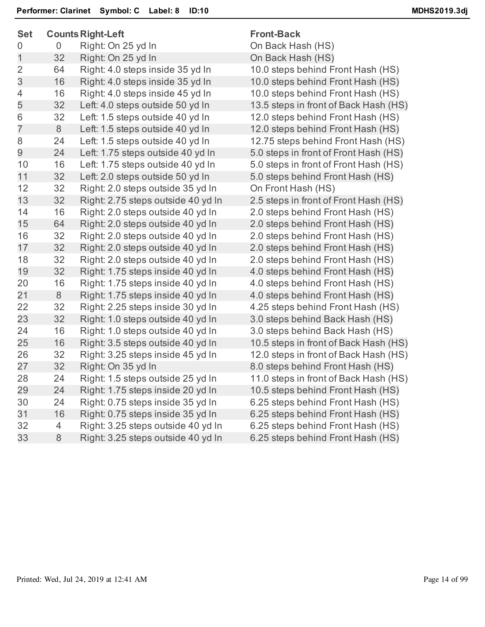| <b>Set</b>     | <b>Counts Right-Left</b> |                                    | <b>Front-Back</b>                     |  |
|----------------|--------------------------|------------------------------------|---------------------------------------|--|
| 0              | 0                        | Right: On 25 yd In                 | On Back Hash (HS)                     |  |
| 1              | 32                       | Right: On 25 yd In                 | On Back Hash (HS)                     |  |
| $\overline{2}$ | 64                       | Right: 4.0 steps inside 35 yd In   | 10.0 steps behind Front Hash (HS)     |  |
| 3              | 16                       | Right: 4.0 steps inside 35 yd In   | 10.0 steps behind Front Hash (HS)     |  |
| 4              | 16                       | Right: 4.0 steps inside 45 yd In   | 10.0 steps behind Front Hash (HS)     |  |
| 5              | 32                       | Left: 4.0 steps outside 50 yd In   | 13.5 steps in front of Back Hash (HS) |  |
| 6              | 32                       | Left: 1.5 steps outside 40 yd In   | 12.0 steps behind Front Hash (HS)     |  |
| $\overline{7}$ | 8                        | Left: 1.5 steps outside 40 yd In   | 12.0 steps behind Front Hash (HS)     |  |
| 8              | 24                       | Left: 1.5 steps outside 40 yd In   | 12.75 steps behind Front Hash (HS)    |  |
| 9              | 24                       | Left: 1.75 steps outside 40 yd In  | 5.0 steps in front of Front Hash (HS) |  |
| 10             | 16                       | Left: 1.75 steps outside 40 yd In  | 5.0 steps in front of Front Hash (HS) |  |
| 11             | 32                       | Left: 2.0 steps outside 50 yd In   | 5.0 steps behind Front Hash (HS)      |  |
| 12             | 32                       | Right: 2.0 steps outside 35 yd In  | On Front Hash (HS)                    |  |
| 13             | 32                       | Right: 2.75 steps outside 40 yd In | 2.5 steps in front of Front Hash (HS) |  |
| 14             | 16                       | Right: 2.0 steps outside 40 yd In  | 2.0 steps behind Front Hash (HS)      |  |
| 15             | 64                       | Right: 2.0 steps outside 40 yd In  | 2.0 steps behind Front Hash (HS)      |  |
| 16             | 32                       | Right: 2.0 steps outside 40 yd In  | 2.0 steps behind Front Hash (HS)      |  |
| 17             | 32                       | Right: 2.0 steps outside 40 yd In  | 2.0 steps behind Front Hash (HS)      |  |
| 18             | 32                       | Right: 2.0 steps outside 40 yd In  | 2.0 steps behind Front Hash (HS)      |  |
| 19             | 32                       | Right: 1.75 steps inside 40 yd In  | 4.0 steps behind Front Hash (HS)      |  |
| 20             | 16                       | Right: 1.75 steps inside 40 yd In  | 4.0 steps behind Front Hash (HS)      |  |
| 21             | 8                        | Right: 1.75 steps inside 40 yd In  | 4.0 steps behind Front Hash (HS)      |  |
| 22             | 32                       | Right: 2.25 steps inside 30 yd In  | 4.25 steps behind Front Hash (HS)     |  |
| 23             | 32                       | Right: 1.0 steps outside 40 yd In  | 3.0 steps behind Back Hash (HS)       |  |
| 24             | 16                       | Right: 1.0 steps outside 40 yd In  | 3.0 steps behind Back Hash (HS)       |  |
| 25             | 16                       | Right: 3.5 steps outside 40 yd In  | 10.5 steps in front of Back Hash (HS) |  |
| 26             | 32                       | Right: 3.25 steps inside 45 yd In  | 12.0 steps in front of Back Hash (HS) |  |
| 27             | 32                       | Right: On 35 yd In                 | 8.0 steps behind Front Hash (HS)      |  |
| 28             | 24                       | Right: 1.5 steps outside 25 yd In  | 11.0 steps in front of Back Hash (HS) |  |
| 29             | 24                       | Right: 1.75 steps inside 20 yd In  | 10.5 steps behind Front Hash (HS)     |  |
| 30             | 24                       | Right: 0.75 steps inside 35 yd In  | 6.25 steps behind Front Hash (HS)     |  |
| 31             | 16                       | Right: 0.75 steps inside 35 yd In  | 6.25 steps behind Front Hash (HS)     |  |
| 32             | 4                        | Right: 3.25 steps outside 40 yd In | 6.25 steps behind Front Hash (HS)     |  |
| 33             | 8                        | Right: 3.25 steps outside 40 yd In | 6.25 steps behind Front Hash (HS)     |  |
|                |                          |                                    |                                       |  |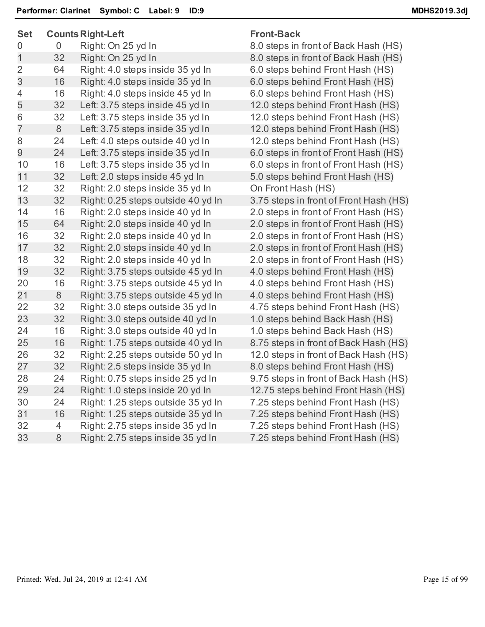| <b>Set</b>     |                | <b>Counts Right-Left</b>           | <b>Front-Back</b>                      |
|----------------|----------------|------------------------------------|----------------------------------------|
| 0              | $\overline{0}$ | Right: On 25 yd In                 | 8.0 steps in front of Back Hash (HS)   |
| 1              | 32             | Right: On 25 yd In                 | 8.0 steps in front of Back Hash (HS)   |
| $\overline{2}$ | 64             | Right: 4.0 steps inside 35 yd In   | 6.0 steps behind Front Hash (HS)       |
| 3              | 16             | Right: 4.0 steps inside 35 yd In   | 6.0 steps behind Front Hash (HS)       |
| 4              | 16             | Right: 4.0 steps inside 45 yd In   | 6.0 steps behind Front Hash (HS)       |
| 5              | 32             | Left: 3.75 steps inside 45 yd In   | 12.0 steps behind Front Hash (HS)      |
| 6              | 32             | Left: 3.75 steps inside 35 yd In   | 12.0 steps behind Front Hash (HS)      |
| $\overline{7}$ | 8              | Left: 3.75 steps inside 35 yd In   | 12.0 steps behind Front Hash (HS)      |
| 8              | 24             | Left: 4.0 steps outside 40 yd In   | 12.0 steps behind Front Hash (HS)      |
| 9              | 24             | Left: 3.75 steps inside 35 yd In   | 6.0 steps in front of Front Hash (HS)  |
| 10             | 16             | Left: 3.75 steps inside 35 yd In   | 6.0 steps in front of Front Hash (HS)  |
| 11             | 32             | Left: 2.0 steps inside 45 yd In    | 5.0 steps behind Front Hash (HS)       |
| 12             | 32             | Right: 2.0 steps inside 35 yd In   | On Front Hash (HS)                     |
| 13             | 32             | Right: 0.25 steps outside 40 yd In | 3.75 steps in front of Front Hash (HS) |
| 14             | 16             | Right: 2.0 steps inside 40 yd In   | 2.0 steps in front of Front Hash (HS)  |
| 15             | 64             | Right: 2.0 steps inside 40 yd In   | 2.0 steps in front of Front Hash (HS)  |
| 16             | 32             | Right: 2.0 steps inside 40 yd In   | 2.0 steps in front of Front Hash (HS)  |
| 17             | 32             | Right: 2.0 steps inside 40 yd In   | 2.0 steps in front of Front Hash (HS)  |
| 18             | 32             | Right: 2.0 steps inside 40 yd In   | 2.0 steps in front of Front Hash (HS)  |
| 19             | 32             | Right: 3.75 steps outside 45 yd In | 4.0 steps behind Front Hash (HS)       |
| 20             | 16             | Right: 3.75 steps outside 45 yd In | 4.0 steps behind Front Hash (HS)       |
| 21             | 8              | Right: 3.75 steps outside 45 yd In | 4.0 steps behind Front Hash (HS)       |
| 22             | 32             | Right: 3.0 steps outside 35 yd In  | 4.75 steps behind Front Hash (HS)      |
| 23             | 32             | Right: 3.0 steps outside 40 yd In  | 1.0 steps behind Back Hash (HS)        |
| 24             | 16             | Right: 3.0 steps outside 40 yd In  | 1.0 steps behind Back Hash (HS)        |
| 25             | 16             | Right: 1.75 steps outside 40 yd In | 8.75 steps in front of Back Hash (HS)  |
| 26             | 32             | Right: 2.25 steps outside 50 yd In | 12.0 steps in front of Back Hash (HS)  |
| 27             | 32             | Right: 2.5 steps inside 35 yd In   | 8.0 steps behind Front Hash (HS)       |
| 28             | 24             | Right: 0.75 steps inside 25 yd In  | 9.75 steps in front of Back Hash (HS)  |
| 29             | 24             | Right: 1.0 steps inside 20 yd In   | 12.75 steps behind Front Hash (HS)     |
| 30             | 24             | Right: 1.25 steps outside 35 yd In | 7.25 steps behind Front Hash (HS)      |
| 31             | 16             | Right: 1.25 steps outside 35 yd In | 7.25 steps behind Front Hash (HS)      |
| 32             | $\overline{4}$ | Right: 2.75 steps inside 35 yd In  | 7.25 steps behind Front Hash (HS)      |
| 33             | 8              | Right: 2.75 steps inside 35 yd In  | 7.25 steps behind Front Hash (HS)      |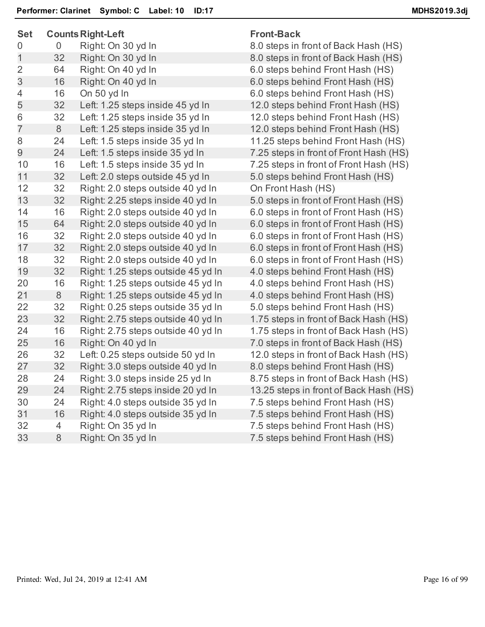| <b>Set</b>     | <b>Counts Right-Left</b> |                                    | <b>Front-Back</b>                      |
|----------------|--------------------------|------------------------------------|----------------------------------------|
| 0              | 0                        | Right: On 30 yd In                 | 8.0 steps in front of Back Hash (HS)   |
| 1              | 32                       | Right: On 30 yd In                 | 8.0 steps in front of Back Hash (HS)   |
| $\overline{2}$ | 64                       | Right: On 40 yd In                 | 6.0 steps behind Front Hash (HS)       |
| 3              | 16                       | Right: On 40 yd In                 | 6.0 steps behind Front Hash (HS)       |
| 4              | 16                       | On 50 yd In                        | 6.0 steps behind Front Hash (HS)       |
| 5              | 32                       | Left: 1.25 steps inside 45 yd In   | 12.0 steps behind Front Hash (HS)      |
| 6              | 32                       | Left: 1.25 steps inside 35 yd In   | 12.0 steps behind Front Hash (HS)      |
| $\overline{7}$ | 8                        | Left: 1.25 steps inside 35 yd In   | 12.0 steps behind Front Hash (HS)      |
| 8              | 24                       | Left: 1.5 steps inside 35 yd In    | 11.25 steps behind Front Hash (HS)     |
| 9              | 24                       | Left: 1.5 steps inside 35 yd In    | 7.25 steps in front of Front Hash (HS) |
| 10             | 16                       | Left: 1.5 steps inside 35 yd In    | 7.25 steps in front of Front Hash (HS) |
| 11             | 32                       | Left: 2.0 steps outside 45 yd In   | 5.0 steps behind Front Hash (HS)       |
| 12             | 32                       | Right: 2.0 steps outside 40 yd In  | On Front Hash (HS)                     |
| 13             | 32                       | Right: 2.25 steps inside 40 yd In  | 5.0 steps in front of Front Hash (HS)  |
| 14             | 16                       | Right: 2.0 steps outside 40 yd In  | 6.0 steps in front of Front Hash (HS)  |
| 15             | 64                       | Right: 2.0 steps outside 40 yd In  | 6.0 steps in front of Front Hash (HS)  |
| 16             | 32                       | Right: 2.0 steps outside 40 yd In  | 6.0 steps in front of Front Hash (HS)  |
| 17             | 32                       | Right: 2.0 steps outside 40 yd In  | 6.0 steps in front of Front Hash (HS)  |
| 18             | 32                       | Right: 2.0 steps outside 40 yd In  | 6.0 steps in front of Front Hash (HS)  |
| 19             | 32                       | Right: 1.25 steps outside 45 yd In | 4.0 steps behind Front Hash (HS)       |
| 20             | 16                       | Right: 1.25 steps outside 45 yd In | 4.0 steps behind Front Hash (HS)       |
| 21             | 8                        | Right: 1.25 steps outside 45 yd In | 4.0 steps behind Front Hash (HS)       |
| 22             | 32                       | Right: 0.25 steps outside 35 yd In | 5.0 steps behind Front Hash (HS)       |
| 23             | 32                       | Right: 2.75 steps outside 40 yd In | 1.75 steps in front of Back Hash (HS)  |
| 24             | 16                       | Right: 2.75 steps outside 40 yd In | 1.75 steps in front of Back Hash (HS)  |
| 25             | 16                       | Right: On 40 yd In                 | 7.0 steps in front of Back Hash (HS)   |
| 26             | 32                       | Left: 0.25 steps outside 50 yd In  | 12.0 steps in front of Back Hash (HS)  |
| 27             | 32                       | Right: 3.0 steps outside 40 yd In  | 8.0 steps behind Front Hash (HS)       |
| 28             | 24                       | Right: 3.0 steps inside 25 yd In   | 8.75 steps in front of Back Hash (HS)  |
| 29             | 24                       | Right: 2.75 steps inside 20 yd In  | 13.25 steps in front of Back Hash (HS) |
| 30             | 24                       | Right: 4.0 steps outside 35 yd In  | 7.5 steps behind Front Hash (HS)       |
| 31             | 16                       | Right: 4.0 steps outside 35 yd In  | 7.5 steps behind Front Hash (HS)       |
| 32             | 4                        | Right: On 35 yd In                 | 7.5 steps behind Front Hash (HS)       |
| 33             | 8                        | Right: On 35 yd In                 | 7.5 steps behind Front Hash (HS)       |
|                |                          |                                    |                                        |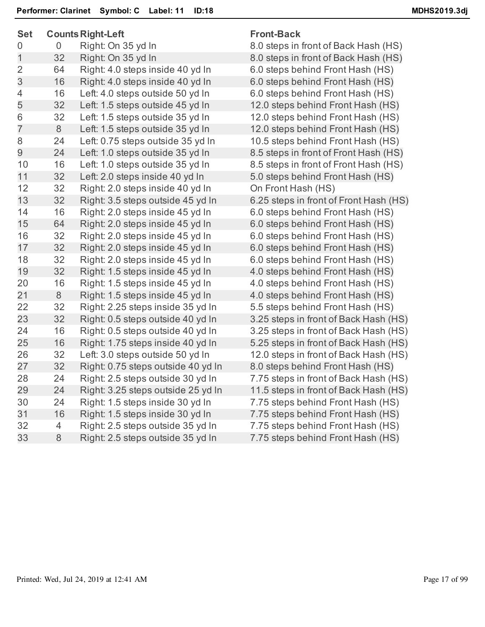| <b>Set</b>     |    | <b>Counts Right-Left</b>           | <b>Front-Back</b>                      |
|----------------|----|------------------------------------|----------------------------------------|
| 0              | 0  | Right: On 35 yd In                 | 8.0 steps in front of Back Hash (HS)   |
| 1              | 32 | Right: On 35 yd In                 | 8.0 steps in front of Back Hash (HS)   |
| $\overline{2}$ | 64 | Right: 4.0 steps inside 40 yd In   | 6.0 steps behind Front Hash (HS)       |
| 3              | 16 | Right: 4.0 steps inside 40 yd In   | 6.0 steps behind Front Hash (HS)       |
| 4              | 16 | Left: 4.0 steps outside 50 yd In   | 6.0 steps behind Front Hash (HS)       |
| 5              | 32 | Left: 1.5 steps outside 45 yd In   | 12.0 steps behind Front Hash (HS)      |
| 6              | 32 | Left: 1.5 steps outside 35 yd In   | 12.0 steps behind Front Hash (HS)      |
| $\overline{7}$ | 8  | Left: 1.5 steps outside 35 yd In   | 12.0 steps behind Front Hash (HS)      |
| 8              | 24 | Left: 0.75 steps outside 35 yd In  | 10.5 steps behind Front Hash (HS)      |
| 9              | 24 | Left: 1.0 steps outside 35 yd In   | 8.5 steps in front of Front Hash (HS)  |
| 10             | 16 | Left: 1.0 steps outside 35 yd In   | 8.5 steps in front of Front Hash (HS)  |
| 11             | 32 | Left: 2.0 steps inside 40 yd In    | 5.0 steps behind Front Hash (HS)       |
| 12             | 32 | Right: 2.0 steps inside 40 yd In   | On Front Hash (HS)                     |
| 13             | 32 | Right: 3.5 steps outside 45 yd In  | 6.25 steps in front of Front Hash (HS) |
| 14             | 16 | Right: 2.0 steps inside 45 yd In   | 6.0 steps behind Front Hash (HS)       |
| 15             | 64 | Right: 2.0 steps inside 45 yd In   | 6.0 steps behind Front Hash (HS)       |
| 16             | 32 | Right: 2.0 steps inside 45 yd In   | 6.0 steps behind Front Hash (HS)       |
| 17             | 32 | Right: 2.0 steps inside 45 yd In   | 6.0 steps behind Front Hash (HS)       |
| 18             | 32 | Right: 2.0 steps inside 45 yd In   | 6.0 steps behind Front Hash (HS)       |
| 19             | 32 | Right: 1.5 steps inside 45 yd In   | 4.0 steps behind Front Hash (HS)       |
| 20             | 16 | Right: 1.5 steps inside 45 yd In   | 4.0 steps behind Front Hash (HS)       |
| 21             | 8  | Right: 1.5 steps inside 45 yd In   | 4.0 steps behind Front Hash (HS)       |
| 22             | 32 | Right: 2.25 steps inside 35 yd In  | 5.5 steps behind Front Hash (HS)       |
| 23             | 32 | Right: 0.5 steps outside 40 yd In  | 3.25 steps in front of Back Hash (HS)  |
| 24             | 16 | Right: 0.5 steps outside 40 yd In  | 3.25 steps in front of Back Hash (HS)  |
| 25             | 16 | Right: 1.75 steps inside 40 yd In  | 5.25 steps in front of Back Hash (HS)  |
| 26             | 32 | Left: 3.0 steps outside 50 yd In   | 12.0 steps in front of Back Hash (HS)  |
| 27             | 32 | Right: 0.75 steps outside 40 yd In | 8.0 steps behind Front Hash (HS)       |
| 28             | 24 | Right: 2.5 steps outside 30 yd In  | 7.75 steps in front of Back Hash (HS)  |
| 29             | 24 | Right: 3.25 steps outside 25 yd In | 11.5 steps in front of Back Hash (HS)  |
| 30             | 24 | Right: 1.5 steps inside 30 yd In   | 7.75 steps behind Front Hash (HS)      |
| 31             | 16 | Right: 1.5 steps inside 30 yd In   | 7.75 steps behind Front Hash (HS)      |
| 32             | 4  | Right: 2.5 steps outside 35 yd In  | 7.75 steps behind Front Hash (HS)      |
| 33             | 8  | Right: 2.5 steps outside 35 yd In  | 7.75 steps behind Front Hash (HS)      |
|                |    |                                    |                                        |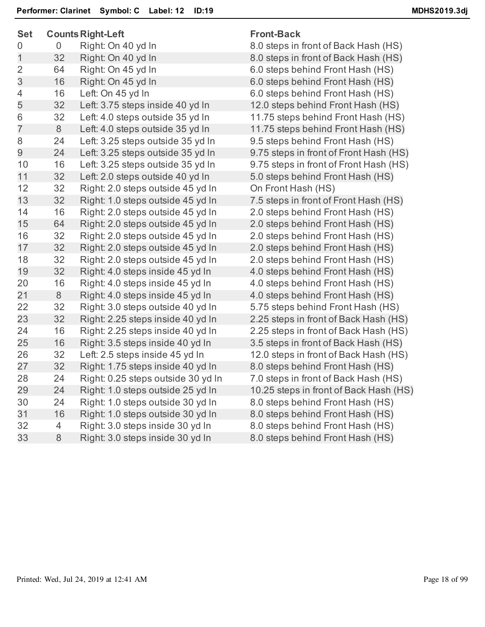| <b>Set</b>     |    | <b>Counts Right-Left</b>           | <b>Front-Back</b>                      |
|----------------|----|------------------------------------|----------------------------------------|
| 0              | 0  | Right: On 40 yd In                 | 8.0 steps in front of Back Hash (HS)   |
| 1              | 32 | Right: On 40 yd In                 | 8.0 steps in front of Back Hash (HS)   |
| $\overline{2}$ | 64 | Right: On 45 yd In                 | 6.0 steps behind Front Hash (HS)       |
| 3              | 16 | Right: On 45 yd In                 | 6.0 steps behind Front Hash (HS)       |
| 4              | 16 | Left: On 45 yd In                  | 6.0 steps behind Front Hash (HS)       |
| 5              | 32 | Left: 3.75 steps inside 40 yd In   | 12.0 steps behind Front Hash (HS)      |
| 6              | 32 | Left: 4.0 steps outside 35 yd In   | 11.75 steps behind Front Hash (HS)     |
| $\overline{7}$ | 8  | Left: 4.0 steps outside 35 yd In   | 11.75 steps behind Front Hash (HS)     |
| 8              | 24 | Left: 3.25 steps outside 35 yd In  | 9.5 steps behind Front Hash (HS)       |
| 9              | 24 | Left: 3.25 steps outside 35 yd In  | 9.75 steps in front of Front Hash (HS) |
| 10             | 16 | Left: 3.25 steps outside 35 yd In  | 9.75 steps in front of Front Hash (HS) |
| 11             | 32 | Left: 2.0 steps outside 40 yd In   | 5.0 steps behind Front Hash (HS)       |
| 12             | 32 | Right: 2.0 steps outside 45 yd In  | On Front Hash (HS)                     |
| 13             | 32 | Right: 1.0 steps outside 45 yd In  | 7.5 steps in front of Front Hash (HS)  |
| 14             | 16 | Right: 2.0 steps outside 45 yd In  | 2.0 steps behind Front Hash (HS)       |
| 15             | 64 | Right: 2.0 steps outside 45 yd In  | 2.0 steps behind Front Hash (HS)       |
| 16             | 32 | Right: 2.0 steps outside 45 yd In  | 2.0 steps behind Front Hash (HS)       |
| 17             | 32 | Right: 2.0 steps outside 45 yd In  | 2.0 steps behind Front Hash (HS)       |
| 18             | 32 | Right: 2.0 steps outside 45 yd In  | 2.0 steps behind Front Hash (HS)       |
| 19             | 32 | Right: 4.0 steps inside 45 yd In   | 4.0 steps behind Front Hash (HS)       |
| 20             | 16 | Right: 4.0 steps inside 45 yd In   | 4.0 steps behind Front Hash (HS)       |
| 21             | 8  | Right: 4.0 steps inside 45 yd In   | 4.0 steps behind Front Hash (HS)       |
| 22             | 32 | Right: 3.0 steps outside 40 yd In  | 5.75 steps behind Front Hash (HS)      |
| 23             | 32 | Right: 2.25 steps inside 40 yd In  | 2.25 steps in front of Back Hash (HS)  |
| 24             | 16 | Right: 2.25 steps inside 40 yd In  | 2.25 steps in front of Back Hash (HS)  |
| 25             | 16 | Right: 3.5 steps inside 40 yd In   | 3.5 steps in front of Back Hash (HS)   |
| 26             | 32 | Left: 2.5 steps inside 45 yd In    | 12.0 steps in front of Back Hash (HS)  |
| 27             | 32 | Right: 1.75 steps inside 40 yd In  | 8.0 steps behind Front Hash (HS)       |
| 28             | 24 | Right: 0.25 steps outside 30 yd In | 7.0 steps in front of Back Hash (HS)   |
| 29             | 24 | Right: 1.0 steps outside 25 yd In  | 10.25 steps in front of Back Hash (HS) |
| 30             | 24 | Right: 1.0 steps outside 30 yd In  | 8.0 steps behind Front Hash (HS)       |
| 31             | 16 | Right: 1.0 steps outside 30 yd In  | 8.0 steps behind Front Hash (HS)       |
| 32             | 4  | Right: 3.0 steps inside 30 yd In   | 8.0 steps behind Front Hash (HS)       |
| 33             | 8  | Right: 3.0 steps inside 30 yd In   | 8.0 steps behind Front Hash (HS)       |
|                |    |                                    |                                        |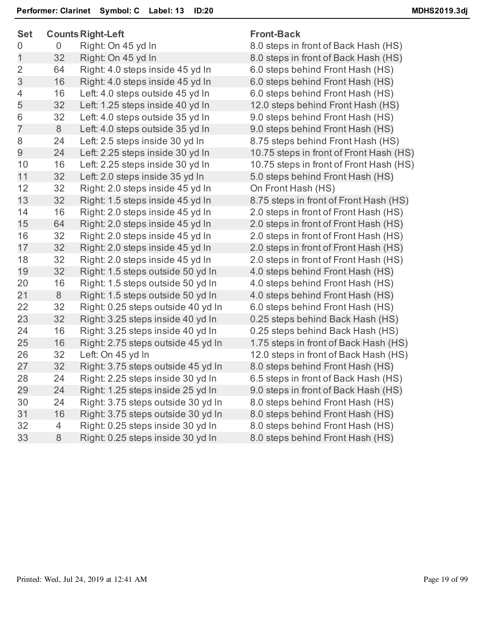| <b>Set</b>     |    | <b>Counts Right-Left</b>           | <b>Front-Back</b>                       |
|----------------|----|------------------------------------|-----------------------------------------|
| 0              | 0  | Right: On 45 yd In                 | 8.0 steps in front of Back Hash (HS)    |
| 1              | 32 | Right: On 45 yd In                 | 8.0 steps in front of Back Hash (HS)    |
| $\overline{2}$ | 64 | Right: 4.0 steps inside 45 yd In   | 6.0 steps behind Front Hash (HS)        |
| 3              | 16 | Right: 4.0 steps inside 45 yd In   | 6.0 steps behind Front Hash (HS)        |
| 4              | 16 | Left: 4.0 steps outside 45 yd In   | 6.0 steps behind Front Hash (HS)        |
| 5              | 32 | Left: 1.25 steps inside 40 yd In   | 12.0 steps behind Front Hash (HS)       |
| 6              | 32 | Left: 4.0 steps outside 35 yd In   | 9.0 steps behind Front Hash (HS)        |
| $\overline{7}$ | 8  | Left: 4.0 steps outside 35 yd In   | 9.0 steps behind Front Hash (HS)        |
| 8              | 24 | Left: 2.5 steps inside 30 yd In    | 8.75 steps behind Front Hash (HS)       |
| 9              | 24 | Left: 2.25 steps inside 30 yd In   | 10.75 steps in front of Front Hash (HS) |
| 10             | 16 | Left: 2.25 steps inside 30 yd In   | 10.75 steps in front of Front Hash (HS) |
| 11             | 32 | Left: 2.0 steps inside 35 yd In    | 5.0 steps behind Front Hash (HS)        |
| 12             | 32 | Right: 2.0 steps inside 45 yd In   | On Front Hash (HS)                      |
| 13             | 32 | Right: 1.5 steps inside 45 yd In   | 8.75 steps in front of Front Hash (HS)  |
| 14             | 16 | Right: 2.0 steps inside 45 yd In   | 2.0 steps in front of Front Hash (HS)   |
| 15             | 64 | Right: 2.0 steps inside 45 yd In   | 2.0 steps in front of Front Hash (HS)   |
| 16             | 32 | Right: 2.0 steps inside 45 yd In   | 2.0 steps in front of Front Hash (HS)   |
| 17             | 32 | Right: 2.0 steps inside 45 yd In   | 2.0 steps in front of Front Hash (HS)   |
| 18             | 32 | Right: 2.0 steps inside 45 yd In   | 2.0 steps in front of Front Hash (HS)   |
| 19             | 32 | Right: 1.5 steps outside 50 yd In  | 4.0 steps behind Front Hash (HS)        |
| 20             | 16 | Right: 1.5 steps outside 50 yd In  | 4.0 steps behind Front Hash (HS)        |
| 21             | 8  | Right: 1.5 steps outside 50 yd In  | 4.0 steps behind Front Hash (HS)        |
| 22             | 32 | Right: 0.25 steps outside 40 yd In | 6.0 steps behind Front Hash (HS)        |
| 23             | 32 | Right: 3.25 steps inside 40 yd In  | 0.25 steps behind Back Hash (HS)        |
| 24             | 16 | Right: 3.25 steps inside 40 yd In  | 0.25 steps behind Back Hash (HS)        |
| 25             | 16 | Right: 2.75 steps outside 45 yd In | 1.75 steps in front of Back Hash (HS)   |
| 26             | 32 | Left: On 45 yd In                  | 12.0 steps in front of Back Hash (HS)   |
| 27             | 32 | Right: 3.75 steps outside 45 yd In | 8.0 steps behind Front Hash (HS)        |
| 28             | 24 | Right: 2.25 steps inside 30 yd In  | 6.5 steps in front of Back Hash (HS)    |
| 29             | 24 | Right: 1.25 steps inside 25 yd In  | 9.0 steps in front of Back Hash (HS)    |
| 30             | 24 | Right: 3.75 steps outside 30 yd In | 8.0 steps behind Front Hash (HS)        |
| 31             | 16 | Right: 3.75 steps outside 30 yd In | 8.0 steps behind Front Hash (HS)        |
| 32             | 4  | Right: 0.25 steps inside 30 yd In  | 8.0 steps behind Front Hash (HS)        |
| 33             | 8  | Right: 0.25 steps inside 30 yd In  | 8.0 steps behind Front Hash (HS)        |
|                |    |                                    |                                         |